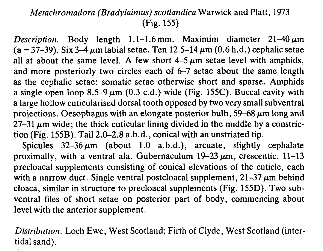## Metachromadora (Bradylaimus) scotlandica Warwick and Platt, 1973 (Fig. 155)

*Description.* Body length 1.1–1.6 mm. Maximim diameter  $21-40 \mu m$ (a = 37-39). Six 3-4  $\mu$ m labial setae. Ten 12.5-14  $\mu$ m (0.6 h.d.) cephalic setae all at about the same level. A few short  $4-5 \mu m$  setae level with amphids, and more posteriorly two circles each of 6-7 setae about the same length as the cephalic setae: somatic setae otherwise short and sparse. Amphids a single open loop 8.5–9  $\mu$ m (0.3 c.d.) wide (Fig. 155C). Buccal cavity with a large hollow cuticularised dorsal tooth opposed by two very small subventral projections. Oesophagus with an elongate posterior bulb, 59-68  $\mu$ m long and  $27-31 \mu m$  wide; the thick cuticular lining divided in the middle by a constriction (Fig. 155B). Tail 2.0-2.8 a.b.d., conical with an unstriated tip.

Spicules  $32-36 \mu m$  (about 1.0 a.b.d.), arcuate, slightly cephalate proximally, with a ventral ala. Gubernaculum  $19-23 \mu m$ , crescentic.  $11-13$ precloacal supplements consisting of conical elevations of the cuticle, each with a narrow duct. Single ventral postcloacal supplement,  $21-37 \mu m$  behind cloaca, similar in structure to precloacal supplements (Fig. 155D). Two subventral files of short setae on posterior part of body, commencing about level with the anterior supplement.

Distribution. Loch Ewe, West Scotland; Firth of Clyde, West Scotland (intertidal sand).